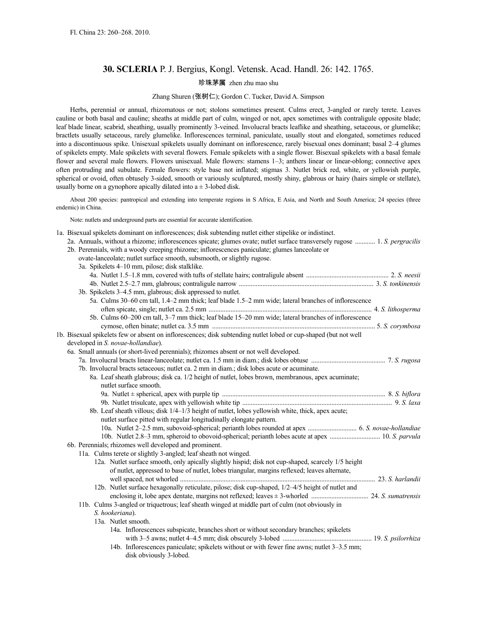# **30. SCLERIA** P. J. Bergius, Kongl. Vetensk. Acad. Handl. 26: 142. 1765.

## 珍珠茅属 zhen zhu mao shu

## Zhang Shuren (张树仁); Gordon C. Tucker, David A. Simpson

Herbs, perennial or annual, rhizomatous or not; stolons sometimes present. Culms erect, 3-angled or rarely terete. Leaves cauline or both basal and cauline; sheaths at middle part of culm, winged or not, apex sometimes with contraligule opposite blade; leaf blade linear, scabrid, sheathing, usually prominently 3-veined. Involucral bracts leaflike and sheathing, setaceous, or glumelike; bractlets usually setaceous, rarely glumelike. Inflorescences terminal, paniculate, usually stout and elongated, sometimes reduced into a discontinuous spike. Unisexual spikelets usually dominant on inflorescence, rarely bisexual ones dominant; basal 2–4 glumes of spikelets empty. Male spikelets with several flowers. Female spikelets with a single flower. Bisexual spikelets with a basal female flower and several male flowers. Flowers unisexual. Male flowers: stamens 1–3; anthers linear or linear-oblong; connective apex often protruding and subulate. Female flowers: style base not inflated; stigmas 3. Nutlet brick red, white, or yellowish purple, spherical or ovoid, often obtusely 3-sided, smooth or variously sculptured, mostly shiny, glabrous or hairy (hairs simple or stellate), usually borne on a gynophore apically dilated into  $a \pm 3$ -lobed disk.

About 200 species: pantropical and extending into temperate regions in S Africa, E Asia, and North and South America; 24 species (three endemic) in China.

Note: nutlets and underground parts are essential for accurate identification.

| 1a. Bisexual spikelets dominant on inflorescences; disk subtending nutlet either stipelike or indistinct. |  |
|-----------------------------------------------------------------------------------------------------------|--|
|-----------------------------------------------------------------------------------------------------------|--|

- 2a. Annuals, without a rhizome; inflorescences spicate; glumes ovate; nutlet surface transversely rugose ............ 1. *S. pergracilis*
- 2b. Perennials, with a woody creeping rhizome; inflorescences paniculate; glumes lanceolate or
	- ovate-lanceolate; nutlet surface smooth, subsmooth, or slightly rugose.

| 3a. Spikelets 4-10 mm, pilose; disk stalklike.                                                                   |  |
|------------------------------------------------------------------------------------------------------------------|--|
|                                                                                                                  |  |
|                                                                                                                  |  |
| 3b. Spikelets 3-4.5 mm, glabrous; disk appressed to nutlet.                                                      |  |
| 5a. Culms 30–60 cm tall, 1.4–2 mm thick; leaf blade 1.5–2 mm wide; lateral branches of inflorescence             |  |
|                                                                                                                  |  |
| 5b. Culms 60–200 cm tall, 3–7 mm thick; leaf blade 15–20 mm wide; lateral branches of inflorescence              |  |
|                                                                                                                  |  |
| 1b. Bisexual spikelets few or absent on inflorescences; disk subtending nutlet lobed or cup-shaped (but not well |  |
| developed in S. novae-hollandiae).                                                                               |  |
| 6a. Small annuals (or short-lived perennials); rhizomes absent or not well developed.                            |  |
|                                                                                                                  |  |
| 7b. Involucral bracts setaceous; nutlet ca. 2 mm in diam.; disk lobes acute or acuminate.                        |  |
| 8a. Leaf sheath glabrous; disk ca. 1/2 height of nutlet, lobes brown, membranous, apex acuminate;                |  |
| nutlet surface smooth.                                                                                           |  |
|                                                                                                                  |  |
|                                                                                                                  |  |
| 8b. Leaf sheath villous; disk 1/4-1/3 height of nutlet, lobes yellowish white, thick, apex acute;                |  |
| nutlet surface pitted with regular longitudinally elongate pattern.                                              |  |
|                                                                                                                  |  |
|                                                                                                                  |  |
| 6b. Perennials; rhizomes well developed and prominent.                                                           |  |
| 11a. Culms terete or slightly 3-angled; leaf sheath not winged.                                                  |  |
| 12a. Nutlet surface smooth, only apically slightly hispid; disk not cup-shaped, scarcely 1/5 height              |  |
| of nutlet, appressed to base of nutlet, lobes triangular, margins reflexed; leaves alternate,                    |  |
|                                                                                                                  |  |
| 12b. Nutlet surface hexagonally reticulate, pilose; disk cup-shaped, 1/2-4/5 height of nutlet and                |  |
|                                                                                                                  |  |
| 11b. Culms 3-angled or triquetrous; leaf sheath winged at middle part of culm (not obviously in                  |  |
| S. hookeriana).                                                                                                  |  |
| 13a. Nutlet smooth.                                                                                              |  |
| 14a. Inflorescences subspicate, branches short or without secondary branches; spikelets                          |  |
|                                                                                                                  |  |
| 14b. Inflorescences paniculate; spikelets without or with fewer fine awns; nutlet 3–3.5 mm;                      |  |
| disk obviously 3-lobed.                                                                                          |  |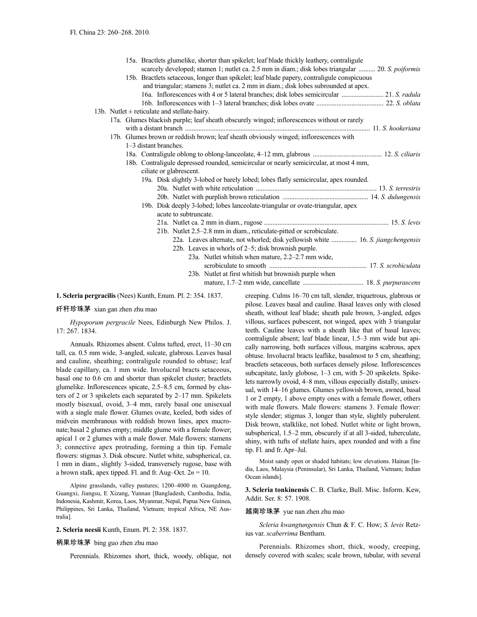|                                                                                             |                                                                                                                    |                                                                                                                                                                                                                                                                                                                               |                       |  |  | 15a. Bractlets glumelike, shorter than spikelet; leaf blade thickly leathery, contraligule        |  |  |
|---------------------------------------------------------------------------------------------|--------------------------------------------------------------------------------------------------------------------|-------------------------------------------------------------------------------------------------------------------------------------------------------------------------------------------------------------------------------------------------------------------------------------------------------------------------------|-----------------------|--|--|---------------------------------------------------------------------------------------------------|--|--|
|                                                                                             |                                                                                                                    |                                                                                                                                                                                                                                                                                                                               |                       |  |  | scarcely developed; stamen 1; nutlet ca. 2.5 mm in diam.; disk lobes triangular  20. S. poiformis |  |  |
|                                                                                             |                                                                                                                    |                                                                                                                                                                                                                                                                                                                               |                       |  |  | 15b. Bractlets setaceous, longer than spikelet; leaf blade papery, contraligule conspicuous       |  |  |
|                                                                                             |                                                                                                                    |                                                                                                                                                                                                                                                                                                                               |                       |  |  | and triangular; stamens 3; nutlet ca. 2 mm in diam.; disk lobes subrounded at apex.               |  |  |
|                                                                                             |                                                                                                                    |                                                                                                                                                                                                                                                                                                                               |                       |  |  | 16a. Inflorescences with 4 or 5 lateral branches; disk lobes semicircular  21. S. radula          |  |  |
|                                                                                             |                                                                                                                    |                                                                                                                                                                                                                                                                                                                               |                       |  |  |                                                                                                   |  |  |
| 13b. Nutlet $\pm$ reticulate and stellate-hairy.                                            |                                                                                                                    |                                                                                                                                                                                                                                                                                                                               |                       |  |  |                                                                                                   |  |  |
| 17a. Glumes blackish purple; leaf sheath obscurely winged; inflorescences without or rarely |                                                                                                                    |                                                                                                                                                                                                                                                                                                                               |                       |  |  |                                                                                                   |  |  |
|                                                                                             |                                                                                                                    | with a distant branch <i>manufacture in the contract of the state of the state of the state of the state of the state of the state of the state of the state of the state of the state of the state of the state of the state of</i><br>17b. Glumes brown or reddish brown; leaf sheath obviously winged; inflorescences with |                       |  |  |                                                                                                   |  |  |
|                                                                                             |                                                                                                                    | 1–3 distant branches.                                                                                                                                                                                                                                                                                                         |                       |  |  |                                                                                                   |  |  |
|                                                                                             |                                                                                                                    |                                                                                                                                                                                                                                                                                                                               |                       |  |  |                                                                                                   |  |  |
|                                                                                             |                                                                                                                    |                                                                                                                                                                                                                                                                                                                               |                       |  |  |                                                                                                   |  |  |
|                                                                                             | 18b. Contraligule depressed rounded, semicircular or nearly semicircular, at most 4 mm,<br>ciliate or glabrescent. |                                                                                                                                                                                                                                                                                                                               |                       |  |  |                                                                                                   |  |  |
|                                                                                             |                                                                                                                    |                                                                                                                                                                                                                                                                                                                               |                       |  |  | 19a. Disk slightly 3-lobed or barely lobed; lobes flatly semicircular, apex rounded.              |  |  |
|                                                                                             |                                                                                                                    |                                                                                                                                                                                                                                                                                                                               |                       |  |  |                                                                                                   |  |  |
|                                                                                             |                                                                                                                    |                                                                                                                                                                                                                                                                                                                               |                       |  |  |                                                                                                   |  |  |
|                                                                                             |                                                                                                                    |                                                                                                                                                                                                                                                                                                                               |                       |  |  | 19b. Disk deeply 3-lobed; lobes lanceolate-triangular or ovate-triangular, apex                   |  |  |
|                                                                                             |                                                                                                                    |                                                                                                                                                                                                                                                                                                                               | acute to subtruncate. |  |  |                                                                                                   |  |  |
|                                                                                             |                                                                                                                    |                                                                                                                                                                                                                                                                                                                               |                       |  |  |                                                                                                   |  |  |
|                                                                                             |                                                                                                                    |                                                                                                                                                                                                                                                                                                                               |                       |  |  | 21b. Nutlet 2.5–2.8 mm in diam., reticulate-pitted or scrobiculate.                               |  |  |
|                                                                                             |                                                                                                                    |                                                                                                                                                                                                                                                                                                                               |                       |  |  | 22a. Leaves alternate, not whorled; disk yellowish white  16. S. jiangchengensis                  |  |  |
|                                                                                             |                                                                                                                    |                                                                                                                                                                                                                                                                                                                               |                       |  |  | 22b. Leaves in whorls of 2–5; disk brownish purple.                                               |  |  |
|                                                                                             |                                                                                                                    |                                                                                                                                                                                                                                                                                                                               |                       |  |  | 23a. Nutlet whitish when mature, 2.2–2.7 mm wide,                                                 |  |  |
|                                                                                             |                                                                                                                    |                                                                                                                                                                                                                                                                                                                               |                       |  |  |                                                                                                   |  |  |
|                                                                                             |                                                                                                                    |                                                                                                                                                                                                                                                                                                                               |                       |  |  | 23b. Nutlet at first whitish but brownish purple when                                             |  |  |
|                                                                                             |                                                                                                                    |                                                                                                                                                                                                                                                                                                                               |                       |  |  |                                                                                                   |  |  |
|                                                                                             |                                                                                                                    |                                                                                                                                                                                                                                                                                                                               |                       |  |  |                                                                                                   |  |  |

**1. Scleria pergracilis** (Nees) Kunth, Enum. Pl. 2: 354. 1837.

### 纤秆珍珠茅 xian gan zhen zhu mao

*Hypoporum pergracile* Nees, Edinburgh New Philos. J. 17: 267. 1834.

Annuals. Rhizomes absent. Culms tufted, erect, 11–30 cm tall, ca. 0.5 mm wide, 3-angled, sulcate, glabrous. Leaves basal and cauline, sheathing; contraligule rounded to obtuse; leaf blade capillary, ca. 1 mm wide. Involucral bracts setaceous, basal one to 0.6 cm and shorter than spikelet cluster; bractlets glumelike. Inflorescences spicate, 2.5–8.5 cm, formed by clusters of 2 or 3 spikelets each separated by 2–17 mm. Spikelets mostly bisexual, ovoid, 3–4 mm, rarely basal one unisexual with a single male flower. Glumes ovate, keeled, both sides of midvein membranous with reddish brown lines, apex mucronate; basal 2 glumes empty; middle glume with a female flower; apical 1 or 2 glumes with a male flower. Male flowers: stamens 3; connective apex protruding, forming a thin tip. Female flowers: stigmas 3. Disk obscure. Nutlet white, subspherical, ca. 1 mm in diam., slightly 3-sided, transversely rugose, base with a brown stalk, apex tipped. Fl. and fr. Aug–Oct.  $2n = 10$ .

Alpine grasslands, valley pastures; 1200–4000 m. Guangdong, Guangxi, Jiangsu, E Xizang, Yunnan [Bangladesh, Cambodia, India, Indonesia, Kashmir, Korea, Laos, Myanmar, Nepal, Papua New Guinea, Philippines, Sri Lanka, Thailand, Vietnam; tropical Africa, NE Australia].

#### **2. Scleria neesii** Kunth, Enum. Pl. 2: 358. 1837.

#### 柄果珍珠茅 bing guo zhen zhu mao

Perennials. Rhizomes short, thick, woody, oblique, not

creeping. Culms 16–70 cm tall, slender, triquetrous, glabrous or pilose. Leaves basal and cauline. Basal leaves only with closed sheath, without leaf blade; sheath pale brown, 3-angled, edges villous, surfaces pubescent, not winged, apex with 3 triangular teeth. Cauline leaves with a sheath like that of basal leaves; contraligule absent; leaf blade linear, 1.5–3 mm wide but apically narrowing, both surfaces villous, margins scabrous, apex obtuse. Involucral bracts leaflike, basalmost to 5 cm, sheathing; bractlets setaceous, both surfaces densely pilose. Inflorescences subcapitate, laxly globose, 1–3 cm, with 5–20 spikelets. Spikelets narrowly ovoid, 4–8 mm, villous especially distally, unisexual, with 14–16 glumes. Glumes yellowish brown, awned, basal 1 or 2 empty, 1 above empty ones with a female flower, others with male flowers. Male flowers: stamens 3. Female flower: style slender; stigmas 3, longer than style, slightly puberulent. Disk brown, stalklike, not lobed. Nutlet white or light brown, subspherical, 1.5–2 mm, obscurely if at all 3-sided, tuberculate, shiny, with tufts of stellate hairs, apex rounded and with a fine tip. Fl. and fr. Apr–Jul.

Moist sandy open or shaded habitats; low elevations. Hainan [India, Laos, Malaysia (Peninsular), Sri Lanka, Thailand, Vietnam; Indian Ocean islands].

**3. Scleria tonkinensis** C. B. Clarke, Bull. Misc. Inform. Kew, Addit. Ser. 8: 57. 1908.

#### 越南珍珠茅 yue nan zhen zhu mao

*Scleria kwangtungensis* Chun & F. C. How; *S. levis* Retzius var. *scaberrima* Bentham.

Perennials. Rhizomes short, thick, woody, creeping, densely covered with scales; scale brown, tubular, with several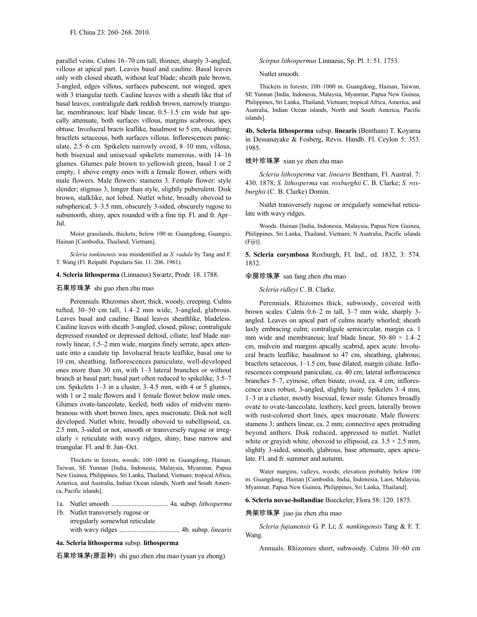parallel veins. Culms 16–70 cm tall, thinner, sharply 3-angled, villous at apical part. Leaves basal and cauline. Basal leaves only with closed sheath, without leaf blade; sheath pale brown, 3-angled, edges villous, surfaces pubescent, not winged, apex with 3 triangular teeth. Cauline leaves with a sheath like that of basal leaves; contraligule dark reddish brown, narrowly triangular, membranous; leaf blade linear, 0.5–1.5 cm wide but apically attenuate, both surfaces villous, margins scabrous, apex obtuse. Involucral bracts leaflike, basalmost to 5 cm, sheathing; bractlets setaceous, both surfaces villous. Inflorescences paniculate, 2.5–6 cm. Spikelets narrowly ovoid, 8–10 mm, villous, both bisexual and unisexual spikelets numerous, with 14–16 glumes. Glumes pale brown to yellowish green, basal 1 or 2 empty, 1 above empty ones with a female flower, others with male flowers. Male flowers: stamens 3. Female flower: style slender; stigmas 3, longer than style, slightly puberulent. Disk brown, stalklike, not lobed. Nutlet white, broadly obovoid to subspherical, 3–3.5 mm, obscurely 3-sided, obscurely rugose to subsmooth, shiny, apex rounded with a fine tip. Fl. and fr. Apr– Jul.

Moist grasslands, thickets; below 100 m. Guangdong, Guangxi, Hainan [Cambodia, Thailand, Vietnam].

*Scleria tonkinensis* was misidentified as *S. radula* by Tang and F. T. Wang (Fl. Reipubl. Popularis Sin. 11: 206. 1961).

#### **4. Scleria lithosperma** (Linnaeus) Swartz, Prodr. 18. 1788.

### 石果珍珠茅 shi guo zhen zhu mao

Perennials. Rhizomes short, thick, woody, creeping. Culms tufted, 30–50 cm tall, 1.4–2 mm wide, 3-angled, glabrous. Leaves basal and cauline. Basal leaves sheathlike, bladeless. Cauline leaves with sheath 3-angled, closed, pilose; contraligule depressed rounded or depressed deltoid, ciliate; leaf blade narrowly linear, 1.5–2 mm wide, margins finely serrate, apex attenuate into a caudate tip. Involucral bracts leaflike, basal one to 10 cm, sheathing. Inflorescences paniculate, well-developed ones more than 30 cm, with 1–3 lateral branches or without branch at basal part; basal part often reduced to spikelike, 3.5–7 cm. Spikelets 1–3 in a cluster, 3–4.5 mm, with 4 or 5 glumes, with 1 or 2 male flowers and 1 female flower below male ones. Glumes ovate-lanceolate, keeled, both sides of midvein membranous with short brown lines, apex mucronate. Disk not well developed. Nutlet white, broadly obovoid to subellipsoid, ca. 2.5 mm, 3-sided or not, smooth or transversely rugose or irregularly  $\pm$  reticulate with wavy ridges, shiny, base narrow and triangular. Fl. and fr. Jun–Oct.

Thickets in forests, woods; 100–1000 m. Guangdong, Hainan, Taiwan, SE Yunnan [India, Indonesia, Malaysia, Myanmar, Papua New Guinea, Philippines, Sri Lanka, Thailand, Vietnam; tropical Africa, America, and Australia, Indian Ocean islands, North and South America, Pacific islands].

- 1a. Nutlet smooth .................................. 4a. subsp. *lithosperma*
- 1b. Nutlet transversely rugose or irregularly somewhat reticulate with wavy ridges .................................... 4b. subsp. *linearis*

#### **4a. Scleria lithosperma** subsp. **lithosperma**

石果珍珠茅(原亚种) shi guo zhen zhu mao (yuan ya zhong)

*Scirpus lithospermus* Linnaeus, Sp. Pl. 1: 51. 1753.

Nutlet smooth.

Thickets in forests; 100–1000 m. Guangdong, Hainan, Taiwan, SE Yunnan [India, Indonesia, Malaysia, Myanmar, Papua New Guinea, Philippines, Sri Lanka, Thailand, Vietnam; tropical Africa, America, and Australia, Indian Ocean islands, North and South America, Pacific islands].

**4b. Scleria lithosperma** subsp. **linearis** (Bentham) T. Koyama in Dessanayake & Fosberg, Revis. Handb. Fl. Ceylon 5: 353. 1985.

### 线叶珍珠茅 xian ye zhen zhu mao

*Scleria lithosperma* var. *linearis* Bentham, Fl. Austral. 7: 430. 1878; *S. lithosperma* var. *roxburghii* C. B. Clarke; *S. roxburghii* (C. B. Clarke) Domin.

Nutlet transversely rugose or irregularly somewhat reticulate with wavy ridges.

Woods. Hainan [India, Indonesia, Malaysia, Papua New Guinea, Philippines, Sri Lanka, Thailand, Vietnam; N Australia, Pacific islands (Fiji)].

**5. Scleria corymbosa** Roxburgh, Fl. Ind., ed. 1832, 3: 574. 1832.

### 伞房珍珠茅 san fang zhen zhu mao

*Scleria ridleyi* C. B. Clarke.

Perennials. Rhizomes thick, subwoody, covered with brown scales. Culms 0.6–2 m tall, 3–7 mm wide, sharply 3 angled. Leaves on apical part of culms nearly whorled; sheath laxly embracing culm; contraligule semicircular, margin ca. 1 mm wide and membranous; leaf blade linear,  $50-80 \times 1.4-2$ cm, midvein and margins apically scabrid, apex acute. Involucral bracts leaflike, basalmost to 47 cm, sheathing, glabrous; bractlets setaceous, 1–1.5 cm, base dilated, margin ciliate. Inflorescences compound paniculate, ca. 40 cm; lateral inflorescence branches 5–7, cymose, often binate, ovoid, ca. 4 cm; inflorescence axes robust, 3-angled, slightly hairy. Spikelets 3–4 mm, 1–3 in a cluster, mostly bisexual, fewer male. Glumes broadly ovate to ovate-lanceolate, leathery, keel green, laterally brown with rust-colored short lines, apex mucronate. Male flowers: stamens 3; anthers linear, ca. 2 mm; connective apex protruding beyond anthers. Disk reduced, appressed to nutlet. Nutlet white or grayish white, obovoid to ellipsoid, ca.  $3.5 \times 2.5$  mm, slightly 3-sided, smooth, glabrous, base attenuate, apex apiculate. Fl. and fr. summer and autumn.

Water margins, valleys, woods; elevation probably below 100 m. Guangdong, Hainan [Cambodia, India, Indonesia, Laos, Malaysia, Myanmar, Papua New Guinea, Philippines, Sri Lanka, Thailand].

**6. Scleria novae-hollandiae** Boeckeler, Flora 58: 120. 1875.

## 角架珍珠茅 jiao jia zhen zhu mao

*Scleria fujianensis* G. P. Li; *S. nankingensis* Tang & F. T. Wang.

Annuals. Rhizomes short, subwoody. Culms 30–60 cm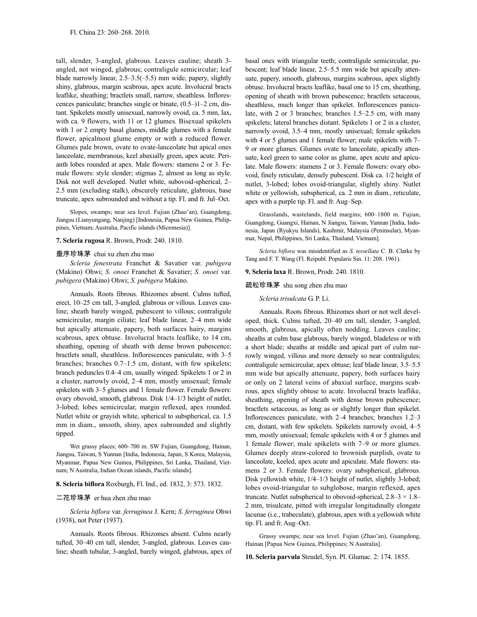tall, slender, 3-angled, glabrous. Leaves cauline; sheath 3 angled, not winged, glabrous; contraligule semicircular; leaf blade narrowly linear, 2.5–3.5(–5.5) mm wide, papery, slightly shiny, glabrous, margin scabrous, apex acute. Involucral bracts leaflike, sheathing; bractlets small, narrow, sheathless. Inflorescences paniculate; branches single or binate, (0.5–)1–2 cm, distant. Spikelets mostly unisexual, narrowly ovoid, ca. 5 mm, lax, with ca. 9 flowers, with 11 or 12 glumes. Bisexual spikelets with 1 or 2 empty basal glumes, middle glumes with a female flower, apicalmost glume empty or with a reduced flower. Glumes pale brown, ovate to ovate-lanceolate but apical ones lanceolate, membranous, keel abaxially green, apex acute. Perianth lobes rounded at apex. Male flowers: stamens 2 or 3. Female flowers: style slender; stigmas 2, almost as long as style. Disk not well developed. Nutlet white, subovoid-spherical, 2– 2.5 mm (excluding stalk), obscurely reticulate, glabrous, base truncate, apex subrounded and without a tip. Fl. and fr. Jul–Oct.

Slopes, swamps; near sea level. Fujian (Zhao'an), Guangdong, Jiangsu (Lianyungang, Nanjing) [Indonesia, Papua New Guinea, Philippines, Vietnam; Australia, Pacific islands (Micronesia)].

#### **7. Scleria rugosa** R. Brown, Prodr. 240. 1810.

#### 垂序珍珠茅 chui xu zhen zhu mao

*Scleria fenestrata* Franchet & Savatier var. *pubigera* (Makino) Ohwi; *S. onoei* Franchet & Savatier; *S. onoei* var. *pubigera* (Makino) Ohwi; *S. pubigera* Makino.

Annuals. Roots fibrous. Rhizomes absent. Culms tufted, erect, 10–25 cm tall, 3-angled, glabrous or villous. Leaves cauline; sheath barely winged, pubescent to villous; contraligule semicircular, margin ciliate; leaf blade linear, 2–4 mm wide but apically attenuate, papery, both surfaces hairy, margins scabrous, apex obtuse. Involucral bracts leaflike, to 14 cm, sheathing, opening of sheath with dense brown pubescence; bractlets small, sheathless. Inflorescences paniculate, with 3–5 branches; branches 0.7–1.5 cm, distant, with few spikelets; branch peduncles 0.4–4 cm, usually winged. Spikelets 1 or 2 in a cluster, narrowly ovoid, 2–4 mm, mostly unisexual; female spikelets with 3–5 glumes and 1 female flower. Female flowers: ovary obovoid, smooth, glabrous. Disk 1/4–1/3 height of nutlet, 3-lobed; lobes semicircular, margin reflexed, apex rounded. Nutlet white or grayish white, spherical to subspherical, ca. 1.5 mm in diam., smooth, shiny, apex subrounded and slightly tipped.

Wet grassy places; 600–700 m. SW Fujian, Guangdong, Hainan, Jiangsu, Taiwan, S Yunnan [India, Indonesia, Japan, S Korea, Malaysia, Myanmar, Papua New Guinea, Philippines, Sri Lanka, Thailand, Vietnam; N Australia, Indian Ocean islands, Pacific islands].

### **8. Scleria biflora** Roxburgh, Fl. Ind., ed. 1832, 3: 573. 1832.

### 二花珍珠茅 er hua zhen zhu mao

*Scleria biflora* var. *ferruginea* J. Kern; *S. ferruginea* Ohwi (1938), not Peter (1937).

Annuals. Roots fibrous. Rhizomes absent. Culms nearly tufted, 30–40 cm tall, slender, 3-angled, glabrous. Leaves cauline; sheath tubular, 3-angled, barely winged, glabrous, apex of basal ones with triangular teeth; contraligule semicircular, pubescent; leaf blade linear, 2.5–5.5 mm wide but apically attenuate, papery, smooth, glabrous, margins scabrous, apex slightly obtuse. Involucral bracts leaflike, basal one to 15 cm, sheathing, opening of sheath with brown pubescence; bractlets setaceous, sheathless, much longer than spikelet. Inflorescences paniculate, with 2 or 3 branches; branches 1.5–2.5 cm, with many spikelets; lateral branches distant. Spikelets 1 or 2 in a cluster, narrowly ovoid, 3.5–4 mm, mostly unisexual; female spikelets with 4 or 5 glumes and 1 female flower; male spikelets with 7– 9 or more glumes. Glumes ovate to lanceolate, apically attenuate, keel green to same color as glume, apex acute and apiculate. Male flowers: stamens 2 or 3. Female flowers: ovary obovoid, finely reticulate, densely pubescent. Disk ca. 1/2 height of nutlet, 3-lobed; lobes ovoid-triangular, slightly shiny. Nutlet white or yellowish, subspherical, ca. 2 mm in diam., reticulate, apex with a purple tip. Fl. and fr. Aug–Sep.

Grasslands, wastelands, field margins; 600–1800 m. Fujian, Guangdong, Guangxi, Hainan, N Jiangsu, Taiwan, Yunnan [India, Indonesia, Japan (Ryukyu Islands), Kashmir, Malaysia (Peninsular), Myanmar, Nepal, Philippines, Sri Lanka, Thailand, Vietnam].

*Scleria biflora* was misidentified as *S. tessellata* C. B. Clarke by Tang and F. T. Wang (Fl. Reipubl. Popularis Sin. 11: 208. 1961).

#### **9. Scleria laxa** R. Brown, Prodr. 240. 1810.

#### 疏松珍珠茅 shu song zhen zhu mao

#### *Scleria trisulcata* G. P. Li.

Annuals. Roots fibrous. Rhizomes short or not well developed, thick. Culms tufted, 20–40 cm tall, slender, 3-angled, smooth, glabrous, apically often nodding. Leaves cauline; sheaths at culm base glabrous, barely winged, bladeless or with a short blade; sheaths at middle and apical part of culm narrowly winged, villous and more densely so near contraligules; contraligule semicircular, apex obtuse; leaf blade linear, 3.5–5.5 mm wide but apically attenuate, papery, both surfaces hairy or only on 2 lateral veins of abaxial surface, margins scabrous, apex slightly obtuse to acute. Involucral bracts leaflike, sheathing, opening of sheath with dense brown pubescence; bractlets setaceous, as long as or slightly longer than spikelet. Inflorescences paniculate, with 2–4 branches; branches 1.2–3 cm, distant, with few spikelets. Spikelets narrowly ovoid, 4–5 mm, mostly unisexual; female spikelets with 4 or 5 glumes and 1 female flower; male spikelets with 7–9 or more glumes. Glumes deeply straw-colored to brownish purplish, ovate to lanceolate, keeled, apex acute and apiculate. Male flowers: stamens 2 or 3. Female flowers: ovary subspherical, glabrous. Disk yellowish white, 1/4–1/3 height of nutlet, slightly 3-lobed; lobes ovoid-triangular to subglobose, margin reflexed, apex truncate. Nutlet subspherical to obovoid-spherical,  $2.8-3 \times 1.8-$ 2 mm, trisulcate, pitted with irregular longitudinally elongate lacunae (i.e., trabeculate), glabrous, apex with a yellowish white tip. Fl. and fr. Aug–Oct.

Grassy swamps; near sea level. Fujian (Zhao'an), Guangdong, Hainan [Papua New Guinea, Philippines; N Australia].

**10. Scleria parvula** Steudel, Syn. Pl. Glumac. 2: 174. 1855.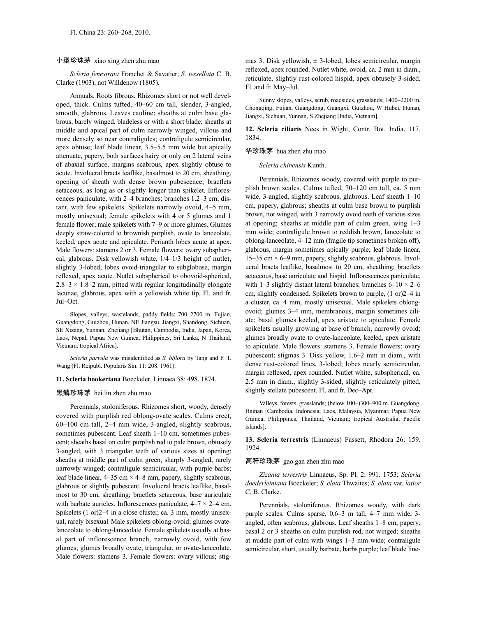### 小型珍珠茅 xiao xing zhen zhu mao

*Scleria fenestrata* Franchet & Savatier; *S. tessellata* C. B. Clarke (1903), not Willdenow (1805).

Annuals. Roots fibrous. Rhizomes short or not well developed, thick. Culms tufted, 40–60 cm tall, slender, 3-angled, smooth, glabrous. Leaves cauline; sheaths at culm base glabrous, barely winged, bladeless or with a short blade; sheaths at middle and apical part of culm narrowly winged, villous and more densely so near contraligules; contraligule semicircular, apex obtuse; leaf blade linear, 3.5–5.5 mm wide but apically attenuate, papery, both surfaces hairy or only on 2 lateral veins of abaxial surface, margins scabrous, apex slightly obtuse to acute. Involucral bracts leaflike, basalmost to 20 cm, sheathing, opening of sheath with dense brown pubescence; bractlets setaceous, as long as or slightly longer than spikelet. Inflorescences paniculate, with 2–4 branches; branches 1.2–3 cm, distant, with few spikelets. Spikelets narrowly ovoid, 4–5 mm, mostly unisexual; female spikelets with 4 or 5 glumes and 1 female flower; male spikelets with 7–9 or more glumes. Glumes deeply straw-colored to brownish purplish, ovate to lanceolate, keeled, apex acute and apiculate. Perianth lobes acute at apex. Male flowers: stamens 2 or 3. Female flowers: ovary subspherical, glabrous. Disk yellowish white, 1/4–1/3 height of nutlet, slightly 3-lobed; lobes ovoid-triangular to subglobose, margin reflexed, apex acute. Nutlet subspherical to obovoid-spherical,  $2.8-3 \times 1.8-2$  mm, pitted with regular longitudinally elongate lacunae, glabrous, apex with a yellowish white tip. Fl. and fr. Jul–Oct.

Slopes, valleys, wastelands, paddy fields; 700–2700 m. Fujian, Guangdong, Guizhou, Hunan, NE Jiangsu, Jiangxi, Shandong, Sichuan, SE Xizang, Yunnan, Zhejiang [Bhutan, Cambodia, India, Japan, Korea, Laos, Nepal, Papua New Guinea, Philippines, Sri Lanka, N Thailand, Vietnam; tropical Africa].

*Scleria parvula* was misidentified as *S. biflora* by Tang and F. T. Wang (Fl. Reipubl. Popularis Sin. 11: 208. 1961).

#### **11. Scleria hookeriana** Boeckeler, Linnaea 38: 498. 1874.

### 黑鳞珍珠茅 hei lin zhen zhu mao

Perennials, stoloniferous. Rhizomes short, woody, densely covered with purplish red oblong-ovate scales. Culms erect, 60–100 cm tall, 2–4 mm wide, 3-angled, slightly scabrous, sometimes pubescent. Leaf sheath  $1-10$  cm, sometimes pubescent; sheaths basal on culm purplish red to pale brown, obtusely 3-angled, with 3 triangular teeth of various sizes at opening; sheaths at middle part of culm green, sharply 3-angled, rarely narrowly winged; contraligule semicircular, with purple barbs; leaf blade linear,  $4-35$  cm  $\times$  4–8 mm, papery, slightly scabrous, glabrous or slightly pubescent. Involucral bracts leaflike, basalmost to 30 cm, sheathing; bractlets setaceous, base auriculate with barbate auricles. Inflorescences paniculate,  $4-7 \times 2-4$  cm. Spikelets (1 or)2–4 in a close cluster, ca. 3 mm, mostly unisexual, rarely bisexual.Male spikelets oblong-ovoid; glumes ovatelanceolate to oblong-lanceolate. Female spikelets usually at basal part of inflorescence branch, narrowly ovoid, with few glumes; glumes broadly ovate, triangular, or ovate-lanceolate. Male flowers: stamens 3. Female flowers: ovary villous; stigmas 3. Disk yellowish,  $\pm$  3-lobed; lobes semicircular, margin reflexed, apex rounded. Nutlet white, ovoid, ca. 2 mm in diam., reticulate, slightly rust-colored hispid, apex obtusely 3-sided. Fl. and fr. May–Jul.

Sunny slopes, valleys, scrub, roadsides, grasslands; 1400–2200 m. Chongqing, Fujian, Guangdong, Guangxi, Guizhou, W Hubei, Hunan, Jiangxi, Sichuan, Yunnan, S Zhejiang [India, Vietnam].

**12. Scleria ciliaris** Nees in Wight, Contr. Bot. India, 117. 1834.

### 华珍珠茅 hua zhen zhu mao

#### *Scleria chinensis* Kunth.

Perennials. Rhizomes woody, covered with purple to purplish brown scales. Culms tufted, 70–120 cm tall, ca. 5 mm wide, 3-angled, slightly scabrous, glabrous. Leaf sheath 1–10 cm, papery, glabrous; sheaths at culm base brown to purplish brown, not winged, with 3 narrowly ovoid teeth of various sizes at opening; sheaths at middle part of culm green, wing 1–3 mm wide; contraligule brown to reddish brown, lanceolate to oblong-lanceolate, 4–12 mm (fragile tip sometimes broken off), glabrous, margin sometimes apically purple; leaf blade linear, 15–35 cm  $\times$  6–9 mm, papery, slightly scabrous, glabrous. Involucral bracts leaflike, basalmost to 20 cm, sheathing; bractlets setaceous, base auriculate and hispid. Inflorescences paniculate, with 1–3 slightly distant lateral branches; branches  $6-10 \times 2-6$ cm, slightly condensed. Spikelets brown to purple, (1 or)2–4 in a cluster, ca. 4 mm, mostly unisexual. Male spikelets oblongovoid; glumes 3–4 mm, membranous, margin sometimes ciliate; basal glumes keeled, apex aristate to apiculate. Female spikelets usually growing at base of branch, narrowly ovoid; glumes broadly ovate to ovate-lanceolate, keeled, apex aristate to apiculate. Male flowers: stamens 3. Female flowers: ovary pubescent; stigmas 3. Disk yellow, 1.6–2 mm in diam., with dense rust-colored lines, 3-lobed; lobes nearly semicircular, margin reflexed, apex rounded. Nutlet white, subspherical, ca. 2.5 mm in diam., slightly 3-sided, slightly reticulately pitted, slightly stellate pubescent. Fl. and fr. Dec–Apr.

Valleys, forests, grasslands; (below 100–)300–900 m. Guangdong, Hainan [Cambodia, Indonesia, Laos, Malaysia, Myanmar, Papua New Guinea, Philippines, Thailand, Vietnam; tropical Australia, Pacific islands].

**13. Scleria terrestris** (Linnaeus) Fassett, Rhodora 26: 159. 1924.

### 高秆珍珠茅 gao gan zhen zhu mao

*Zizania terrestris* Linnaeus, Sp. Pl. 2: 991. 1753; *Scleria doederleiniana* Boeckeler; *S. elata* Thwaites; *S. elata* var. *latior* C. B. Clarke.

Perennials, stoloniferous. Rhizomes woody, with dark purple scales. Culms sparse, 0.6–3 m tall, 4–7 mm wide, 3 angled, often scabrous, glabrous. Leaf sheaths 1–8 cm, papery; basal 2 or 3 sheaths on culm purplish red, not winged; sheaths at middle part of culm with wings 1–3 mm wide; contraligule semicircular, short, usually barbate, barbs purple; leaf blade line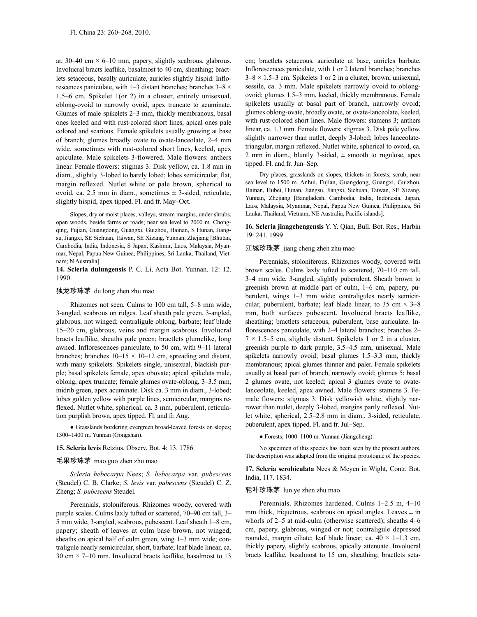ar, 30–40 cm  $\times$  6–10 mm, papery, slightly scabrous, glabrous. Involucral bracts leaflike, basalmost to 40 cm, sheathing; bractlets setaceous, basally auriculate, auricles slightly hispid. Inflorescences paniculate, with 1–3 distant branches; branches  $3-8 \times$ 1.5–6 cm. Spikelet 1(or 2) in a cluster, entirely unisexual, oblong-ovoid to narrowly ovoid, apex truncate to acuminate. Glumes of male spikelets 2–3 mm, thickly membranous, basal ones keeled and with rust-colored short lines, apical ones pale colored and scarious. Female spikelets usually growing at base of branch; glumes broadly ovate to ovate-lanceolate, 2–4 mm wide, sometimes with rust-colored short lines, keeled, apex apiculate. Male spikelets 3-flowered. Male flowers: anthers linear. Female flowers: stigmas 3. Disk yellow, ca. 1.8 mm in diam., slightly 3-lobed to barely lobed; lobes semicircular, flat, margin reflexed. Nutlet white or pale brown, spherical to ovoid, ca. 2.5 mm in diam., sometimes  $\pm$  3-sided, reticulate, slightly hispid, apex tipped. Fl. and fr. May–Oct.

Slopes, dry or moist places, valleys, stream margins, under shrubs, open woods, beside farms or roads; near sea level to 2000 m. Chongqing, Fujian, Guangdong, Guangxi, Guizhou, Hainan, S Hunan, Jiangsu, Jiangxi, SE Sichuan, Taiwan, SE Xizang, Yunnan, Zhejiang [Bhutan, Cambodia, India, Indonesia, S Japan, Kashmir, Laos, Malaysia, Myanmar, Nepal, Papua New Guinea, Philippines, Sri Lanka, Thailand, Vietnam; N Australia].

**14. Scleria dulungensis** P. C. Li, Acta Bot. Yunnan. 12: 12. 1990.

#### 独龙珍珠茅 du long zhen zhu mao

Rhizomes not seen. Culms to 100 cm tall, 5–8 mm wide, 3-angled, scabrous on ridges. Leaf sheath pale green, 3-angled, glabrous, not winged; contraligule oblong, barbate; leaf blade 15–20 cm, glabrous, veins and margin scabrous. Involucral bracts leaflike, sheaths pale green; bractlets glumelike, long awned. Inflorescences paniculate, to 50 cm, with 9–11 lateral branches; branches  $10-15 \times 10-12$  cm, spreading and distant, with many spikelets. Spikelets single, unisexual, blackish purple; basal spikelets female, apex obovate; apical spikelets male, oblong, apex truncate; female glumes ovate-oblong, 3–3.5 mm, midrib green, apex acuminate. Disk ca. 3 mm in diam., 3-lobed; lobes golden yellow with purple lines, semicircular, margins reflexed. Nutlet white, spherical, ca. 3 mm, puberulent, reticulation purplish brown, apex tipped. Fl. and fr. Aug.

● Grasslands bordering evergreen broad-leaved forests on slopes; 1300–1400 m. Yunnan (Gongshan).

#### **15. Scleria levis** Retzius, Observ. Bot. 4: 13. 1786.

### 毛果珍珠茅 mao guo zhen zhu mao

*Scleria hebecarpa* Nees; *S. hebecarpa* var. *pubescens* (Steudel) C. B. Clarke; *S. levis* var. *pubescens* (Steudel) C. Z. Zheng; *S. pubescens* Steudel.

Perennials, stoloniferous. Rhizomes woody, covered with purple scales. Culms laxly tufted or scattered, 70–90 cm tall, 3– 5 mm wide, 3-angled, scabrous, pubescent. Leaf sheath 1–8 cm, papery; sheath of leaves at culm base brown, not winged; sheaths on apical half of culm green, wing 1–3 mm wide; contraligule nearly semicircular, short, barbate; leaf blade linear, ca. 30 cm  $\times$  7–10 mm. Involucral bracts leaflike, basalmost to 13 cm; bractlets setaceous, auriculate at base, auricles barbate. Inflorescences paniculate, with 1 or 2 lateral branches; branches  $3-8 \times 1.5-3$  cm. Spikelets 1 or 2 in a cluster, brown, unisexual, sessile, ca. 3 mm. Male spikelets narrowly ovoid to oblongovoid; glumes 1.5–3 mm, keeled, thickly membranous. Female spikelets usually at basal part of branch, narrowly ovoid; glumes oblong-ovate, broadly ovate, or ovate-lanceolate, keeled, with rust-colored short lines. Male flowers: stamens 3; anthers linear, ca. 1.3 mm. Female flowers: stigmas 3. Disk pale yellow, slightly narrower than nutlet, deeply 3-lobed; lobes lanceolatetriangular, margin reflexed. Nutlet white, spherical to ovoid, ca. 2 mm in diam., bluntly 3-sided,  $\pm$  smooth to rugulose, apex tipped. Fl. and fr. Jun–Sep.

Dry places, grasslands on slopes, thickets in forests, scrub; near sea level to 1500 m. Anhui, Fujian, Guangdong, Guangxi, Guizhou, Hainan, Hubei, Hunan, Jiangsu, Jiangxi, Sichuan, Taiwan, SE Xizang, Yunnan, Zhejiang [Bangladesh, Cambodia, India, Indonesia, Japan, Laos, Malaysia, Myanmar, Nepal, Papua New Guinea, Philippines, Sri Lanka, Thailand, Vietnam; NE Australia, Pacific islands].

**16. Scleria jiangchengensis** Y. Y. Qian, Bull. Bot. Res., Harbin 19: 241. 1999.

### 江城珍珠茅 jiang cheng zhen zhu mao

Perennials, stoloniferous. Rhizomes woody, covered with brown scales. Culms laxly tufted to scattered, 70–110 cm tall, 3–4 mm wide, 3-angled, slightly puberulent. Sheath brown to greenish brown at middle part of culm, 1–6 cm, papery, puberulent, wings 1–3 mm wide; contraligules nearly semicircular, puberulent, barbate; leaf blade linear, to 35 cm  $\times$  3–8 mm, both surfaces pubescent. Involucral bracts leaflike, sheathing; bractlets setaceous, puberulent, base auriculate. Inflorescences paniculate, with 2–4 lateral branches; branches 2–  $7 \times 1.5$ –5 cm, slightly distant. Spikelets 1 or 2 in a cluster, greenish purple to dark purple, 3.5–4.5 mm, unisexual. Male spikelets narrowly ovoid; basal glumes 1.5–3.3 mm, thickly membranous; apical glumes thinner and paler. Female spikelets usually at basal part of branch, narrowly ovoid; glumes 5; basal 2 glumes ovate, not keeled; apical 3 glumes ovate to ovatelanceolate, keeled, apex awned. Male flowers: stamens 3. Female flowers: stigmas 3. Disk yellowish white, slightly narrower than nutlet, deeply 3-lobed, margins partly reflexed. Nutlet white, spherical, 2.5–2.8 mm in diam., 3-sided, reticulate, puberulent, apex tipped. Fl. and fr. Jul–Sep.

● Forests; 1000–1100 m. Yunnan (Jiangcheng).

No specimen of this species has been seen by the present authors. The description was adapted from the original protologue of the species.

**17. Scleria scrobiculata** Nees & Meyen in Wight, Contr. Bot. India, 117. 1834.

#### 轮叶珍珠茅 lun ye zhen zhu mao

Perennials. Rhizomes hardened. Culms 1–2.5 m, 4–10 mm thick, triquetrous, scabrous on apical angles. Leaves  $\pm$  in whorls of 2–5 at mid-culm (otherwise scattered); sheaths 4–6 cm, papery, glabrous, winged or not; contraligule depressed rounded, margin ciliate; leaf blade linear, ca.  $40 \times 1 - 1.3$  cm, thickly papery, slightly scabrous, apically attenuate. Involucral bracts leaflike, basalmost to 15 cm, sheathing; bractlets seta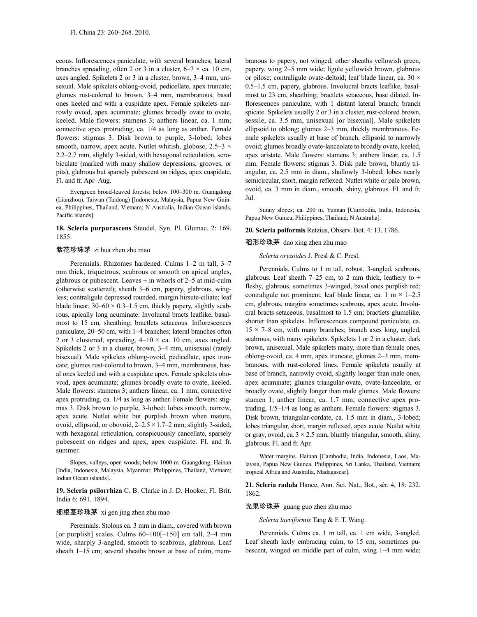ceous. Inflorescences paniculate, with several branches; lateral branches spreading, often 2 or 3 in a cluster,  $6-7 \times$  ca. 10 cm, axes angled. Spikelets 2 or 3 in a cluster, brown, 3–4 mm, unisexual. Male spikelets oblong-ovoid, pedicellate, apex truncate; glumes rust-colored to brown, 3–4 mm, membranous, basal ones keeled and with a cuspidate apex. Female spikelets narrowly ovoid, apex acuminate; glumes broadly ovate to ovate, keeled. Male flowers: stamens 3; anthers linear, ca. 1 mm; connective apex protruding, ca. 1/4 as long as anther. Female flowers: stigmas 3. Disk brown to purple, 3-lobed; lobes smooth, narrow, apex acute. Nutlet whitish, globose,  $2.5-3 \times$ 2.2–2.7 mm, slightly 3-sided, with hexagonal reticulation, scrobiculate (marked with many shallow depressions, grooves, or pits), glabrous but sparsely pubescent on ridges, apex cuspidate. Fl. and fr. Apr–Aug.

Evergreen broad-leaved forests; below 100–300 m. Guangdong (Lianzhou), Taiwan (Taidong) [Indonesia, Malaysia, Papua New Guinea, Philippines, Thailand, Vietnam; N Australia, Indian Ocean islands, Pacific islands].

### **18. Scleria purpurascens** Steudel, Syn. Pl. Glumac. 2: 169. 1855.

### 紫花珍珠茅 zi hua zhen zhu mao

Perennials. Rhizomes hardened. Culms 1–2 m tall, 3–7 mm thick, triquetrous, scabrous or smooth on apical angles, glabrous or pubescent. Leaves  $\pm$  in whorls of 2–5 at mid-culm (otherwise scattered); sheath 3–6 cm, papery, glabrous, wingless; contraligule depressed rounded, margin hirsute-ciliate; leaf blade linear,  $30-60 \times 0.3-1.5$  cm, thickly papery, slightly scabrous, apically long acuminate. Involucral bracts leaflike, basalmost to 15 cm, sheathing; bractlets setaceous. Inflorescences paniculate, 20–50 cm, with 1–4 branches; lateral branches often 2 or 3 clustered, spreading,  $4-10 \times$  ca. 10 cm, axes angled. Spikelets 2 or 3 in a cluster, brown, 3–4 mm, unisexual (rarely bisexual). Male spikelets oblong-ovoid, pedicellate, apex truncate; glumes rust-colored to brown, 3–4 mm, membranous, basal ones keeled and with a cuspidate apex. Female spikelets obovoid, apex acuminate; glumes broadly ovate to ovate, keeled. Male flowers: stamens 3; anthers linear, ca. 1 mm; connective apex protruding, ca. 1/4 as long as anther. Female flowers: stigmas 3. Disk brown to purple, 3-lobed; lobes smooth, narrow, apex acute. Nutlet white but purplish brown when mature, ovoid, ellipsoid, or obovoid,  $2-2.5 \times 1.7-2$  mm, slightly 3-sided, with hexagonal reticulation, conspicuously cancellate, sparsely pubescent on ridges and apex, apex cuspidate. Fl. and fr. summer.

Slopes, valleys, open woods; below 1000 m. Guangdong, Hainan [India, Indonesia, Malaysia, Myanmar, Philippines, Thailand, Vietnam; Indian Ocean islands].

**19. Scleria psilorrhiza** C. B. Clarke in J. D. Hooker, Fl. Brit. India 6: 691. 1894.

### 细根茎珍珠茅 xi gen jing zhen zhu mao

Perennials. Stolons ca. 3 mm in diam., covered with brown [or purplish] scales. Culms  $60-100[-150]$  cm tall, 2-4 mm wide, sharply 3-angled, smooth to scabrous, glabrous. Leaf sheath 1–15 cm; several sheaths brown at base of culm, membranous to papery, not winged; other sheaths yellowish green, papery, wing 2–5 mm wide; ligule yellowish brown, glabrous or pilose; contraligule ovate-deltoid; leaf blade linear, ca. 30 × 0.5–1.5 cm, papery, glabrous. Involucral bracts leaflike, basalmost to 23 cm, sheathing; bractlets setaceous, base dilated. Inflorescences paniculate, with 1 distant lateral branch; branch spicate. Spikelets usually 2 or 3 in a cluster, rust-colored brown, sessile, ca. 3.5 mm, unisexual [or bisexual]. Male spikelets ellipsoid to oblong; glumes 2–3 mm, thickly membranous. Female spikelets usually at base of branch, ellipsoid to narrowly ovoid; glumes broadly ovate-lanceolate to broadly ovate, keeled, apex aristate. Male flowers: stamens 3; anthers linear, ca. 1.5 mm. Female flowers: stigmas 3. Disk pale brown, bluntly triangular, ca. 2.5 mm in diam., shallowly 3-lobed; lobes nearly semicircular, short, margin reflexed. Nutlet white or pale brown, ovoid, ca. 3 mm in diam., smooth, shiny, glabrous. Fl. and fr. Jul.

Sunny slopes; ca. 200 m. Yunnan [Cambodia, India, Indonesia, Papua New Guinea, Philippines, Thailand; N Australia].

## **20. Scleria poiformis** Retzius, Observ. Bot. 4: 13. 1786.

#### 稻形珍珠茅 dao xing zhen zhu mao

### *Scleria oryzoides* J. Presl & C. Presl.

Perennials. Culms to 1 m tall, robust, 3-angled, scabrous, glabrous. Leaf sheath 7–25 cm, to 2 mm thick, leathery to  $\pm$ fleshy, glabrous, sometimes 3-winged, basal ones purplish red; contraligule not prominent; leaf blade linear, ca. 1 m  $\times$  1–2.5 cm, glabrous, margins sometimes scabrous, apex acute. Involucral bracts setaceous, basalmost to 1.5 cm; bractlets glumelike, shorter than spikelets. Inflorescences compound paniculate, ca.  $15 \times 7-8$  cm, with many branches; branch axes long, angled, scabrous, with many spikelets. Spikelets 1 or 2 in a cluster, dark brown, unisexual. Male spikelets many, more than female ones, oblong-ovoid, ca. 4 mm, apex truncate; glumes 2–3 mm, membranous, with rust-colored lines. Female spikelets usually at base of branch, narrowly ovoid, slightly longer than male ones, apex acuminate; glumes triangular-ovate, ovate-lanceolate, or broadly ovate, slightly longer than male glumes. Male flowers: stamen 1; anther linear, ca. 1.7 mm; connective apex protruding, 1/5–1/4 as long as anthers. Female flowers: stigmas 3. Disk brown, triangular-cordate, ca. 1.5 mm in diam., 3-lobed; lobes triangular, short, margin reflexed, apex acute. Nutlet white or gray, ovoid, ca.  $3 \times 2.5$  mm, bluntly triangular, smooth, shiny, glabrous. Fl. and fr. Apr.

Water margins. Hainan [Cambodia, India, Indonesia, Laos, Malaysia, Papua New Guinea, Philippines, Sri Lanka, Thailand, Vietnam; tropical Africa and Australia, Madagascar].

**21. Scleria radula** Hance, Ann. Sci. Nat., Bot., sér. 4, 18: 232. 1862.

光果珍珠茅 guang guo zhen zhu mao

*Scleria laeviformis* Tang & F. T. Wang.

Perennials. Culms ca. 1 m tall, ca. 1 cm wide, 3-angled. Leaf sheath laxly embracing culm, to 15 cm, sometimes pubescent, winged on middle part of culm, wing 1–4 mm wide;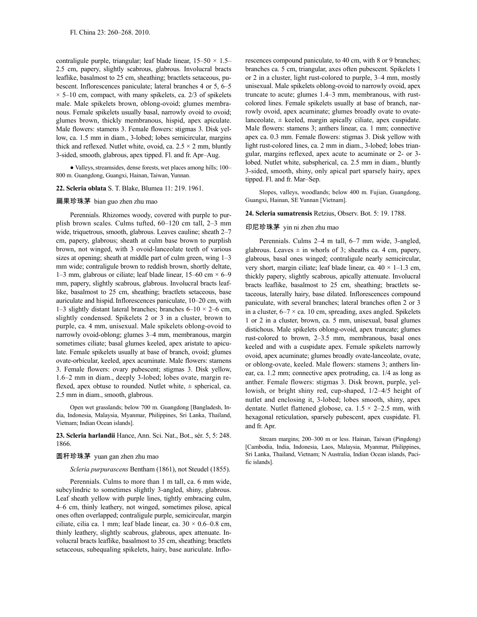contraligule purple, triangular; leaf blade linear,  $15-50 \times 1.5-$ 2.5 cm, papery, slightly scabrous, glabrous. Involucral bracts leaflike, basalmost to 25 cm, sheathing; bractlets setaceous, pubescent. Inflorescences paniculate; lateral branches 4 or 5, 6–5  $\times$  5–10 cm, compact, with many spikelets, ca. 2/3 of spikelets male. Male spikelets brown, oblong-ovoid; glumes membranous. Female spikelets usually basal, narrowly ovoid to ovoid; glumes brown, thickly membranous, hispid, apex apiculate. Male flowers: stamens 3. Female flowers: stigmas 3. Disk yellow, ca. 1.5 mm in diam., 3-lobed; lobes semicircular, margins thick and reflexed. Nutlet white, ovoid, ca.  $2.5 \times 2$  mm, bluntly 3-sided, smooth, glabrous, apex tipped. Fl. and fr. Apr–Aug.

• Valleys, streamsides, dense forests, wet places among hills; 100-800 m. Guangdong, Guangxi, Hainan, Taiwan, Yunnan.

## **22. Scleria oblata** S. T. Blake, Blumea 11: 219. 1961.

### 扁果珍珠茅 bian guo zhen zhu mao

Perennials. Rhizomes woody, covered with purple to purplish brown scales. Culms tufted, 60–120 cm tall, 2–3 mm wide, triquetrous, smooth, glabrous. Leaves cauline; sheath 2–7 cm, papery, glabrous; sheath at culm base brown to purplish brown, not winged, with 3 ovoid-lanceolate teeth of various sizes at opening; sheath at middle part of culm green, wing 1–3 mm wide; contraligule brown to reddish brown, shortly deltate, 1–3 mm, glabrous or ciliate; leaf blade linear, 15–60 cm  $\times$  6–9 mm, papery, slightly scabrous, glabrous. Involucral bracts leaflike, basalmost to 25 cm, sheathing; bractlets setaceous, base auriculate and hispid.Inflorescences paniculate, 10–20 cm, with 1–3 slightly distant lateral branches; branches  $6-10 \times 2-6$  cm, slightly condensed. Spikelets 2 or 3 in a cluster, brown to purple, ca. 4 mm, unisexual. Male spikelets oblong-ovoid to narrowly ovoid-oblong; glumes 3–4 mm, membranous, margin sometimes ciliate; basal glumes keeled, apex aristate to apiculate. Female spikelets usually at base of branch, ovoid; glumes ovate-orbicular, keeled, apex acuminate. Male flowers: stamens 3. Female flowers: ovary pubescent; stigmas 3. Disk yellow, 1.6–2 mm in diam., deeply 3-lobed; lobes ovate, margin reflexed, apex obtuse to rounded. Nutlet white,  $\pm$  spherical, ca. 2.5 mm in diam., smooth, glabrous.

Open wet grasslands; below 700 m. Guangdong [Bangladesh, India, Indonesia, Malaysia, Myanmar, Philippines, Sri Lanka, Thailand, Vietnam; Indian Ocean islands].

**23. Scleria harlandii** Hance, Ann. Sci. Nat., Bot., sér. 5, 5: 248. 1866.

### 圆秆珍珠茅 yuan gan zhen zhu mao

*Scleria purpurascens* Bentham (1861), not Steudel (1855).

Perennials. Culms to more than 1 m tall, ca. 6 mm wide, subcylindric to sometimes slightly 3-angled, shiny, glabrous. Leaf sheath yellow with purple lines, tightly embracing culm, 4–6 cm, thinly leathery, not winged, sometimes pilose, apical ones often overlapped; contraligule purple, semicircular, margin ciliate, cilia ca. 1 mm; leaf blade linear, ca.  $30 \times 0.6{\text{-}}0.8$  cm, thinly leathery, slightly scabrous, glabrous, apex attenuate. Involucral bracts leaflike, basalmost to 35 cm, sheathing; bractlets setaceous, subequaling spikelets, hairy, base auriculate. Inflorescences compound paniculate, to 40 cm, with 8 or 9 branches; branches ca. 5 cm, triangular, axes often pubescent. Spikelets 1 or 2 in a cluster, light rust-colored to purple, 3–4 mm, mostly unisexual. Male spikelets oblong-ovoid to narrowly ovoid, apex truncate to acute; glumes 1.4–3 mm, membranous, with rustcolored lines. Female spikelets usually at base of branch, narrowly ovoid, apex acuminate; glumes broadly ovate to ovatelanceolate,  $\pm$  keeled, margin apically ciliate, apex cuspidate. Male flowers: stamens 3; anthers linear, ca. 1 mm; connective apex ca. 0.3 mm. Female flowers: stigmas 3. Disk yellow with light rust-colored lines, ca. 2 mm in diam., 3-lobed; lobes triangular, margins reflexed, apex acute to acuminate or 2- or 3 lobed. Nutlet white, subspherical, ca. 2.5 mm in diam., bluntly 3-sided, smooth, shiny, only apical part sparsely hairy, apex tipped. Fl. and fr. Mar–Sep.

Slopes, valleys, woodlands; below 400 m. Fujian, Guangdong, Guangxi, Hainan, SE Yunnan [Vietnam].

## **24. Scleria sumatrensis** Retzius, Observ. Bot. 5: 19. 1788.

### 印尼珍珠茅 yin ni zhen zhu mao

Perennials. Culms 2–4 m tall, 6–7 mm wide, 3-angled, glabrous. Leaves  $\pm$  in whorls of 3; sheaths ca. 4 cm, papery, glabrous, basal ones winged; contraligule nearly semicircular, very short, margin ciliate; leaf blade linear, ca.  $40 \times 1 - 1.3$  cm, thickly papery, slightly scabrous, apically attenuate. Involucral bracts leaflike, basalmost to 25 cm, sheathing; bractlets setaceous, laterally hairy, base dilated. Inflorescences compound paniculate, with several branches; lateral branches often 2 or 3 in a cluster,  $6-7 \times$  ca. 10 cm, spreading, axes angled. Spikelets 1 or 2 in a cluster, brown, ca. 5 mm, unisexual, basal glumes distichous. Male spikelets oblong-ovoid, apex truncate; glumes rust-colored to brown, 2–3.5 mm, membranous, basal ones keeled and with a cuspidate apex. Female spikelets narrowly ovoid, apex acuminate; glumes broadly ovate-lanceolate, ovate, or oblong-ovate, keeled. Male flowers: stamens 3; anthers linear, ca. 1.2 mm; connective apex protruding, ca. 1/4 as long as anther. Female flowers: stigmas 3. Disk brown, purple, yellowish, or bright shiny red, cup-shaped, 1/2–4/5 height of nutlet and enclosing it, 3-lobed; lobes smooth, shiny, apex dentate. Nutlet flattened globose, ca.  $1.5 \times 2-2.5$  mm, with hexagonal reticulation, sparsely pubescent, apex cuspidate. Fl. and fr. Apr.

Stream margins; 200–300 m or less. Hainan, Taiwan (Pingdong) [Cambodia, India, Indonesia, Laos, Malaysia, Myanmar, Philippines, Sri Lanka, Thailand, Vietnam; N Australia, Indian Ocean islands, Pacific islands].